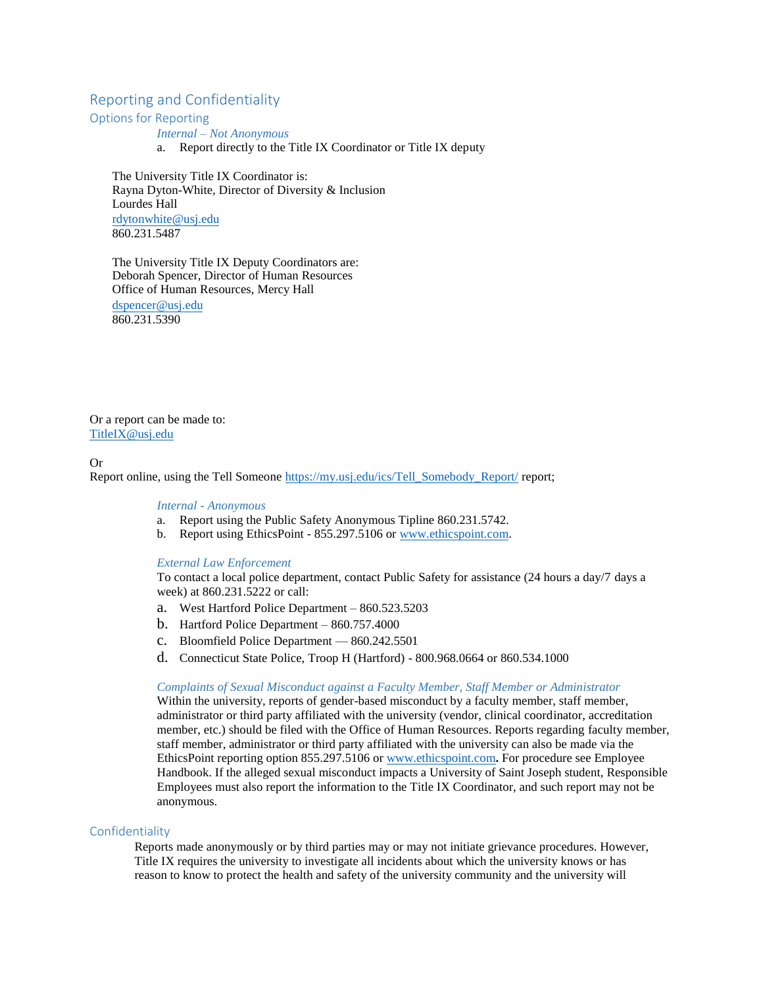# Reporting and Confidentiality

Options for Reporting

*Internal – Not Anonymous*

a. Report directly to the Title IX Coordinator or Title IX deputy

The University Title IX Coordinator is: Rayna Dyton-White, Director of Diversity & Inclusion Lourdes Hall [rdytonwhite@usj.edu](mailto:rdytonwhite@usj.edu) 860.231.5487

The University Title IX Deputy Coordinators are: Deborah Spencer, Director of Human Resources Office of Human Resources, Mercy Hall [dspencer@usj.edu](mailto:dspencer@usj.edu) 860.231.5390

Or a report can be made to: [TitleIX@usj.edu](mailto:TitleIX@usj.edu)

### Or

Report online, using the Tell Someone [https://my.usj.edu/ics/Tell\\_Somebody\\_Report/](https://my.usj.edu/ics/Tell_Somebody_Report/) report;

*Internal - Anonymous*

- a. Report using the Public Safety Anonymous Tipline 860.231.5742.
- b. Report using EthicsPoint 855.297.5106 o[r www.ethicspoint.com.](https://secure.ethicspoint.com/domain/media/en/gui/33024/index.html)

#### *External Law Enforcement*

To contact a local police department, contact Public Safety for assistance (24 hours a day/7 days a week) at 860.231.5222 or call:

- a. West Hartford Police Department 860.523.5203
- b. Hartford Police Department 860.757.4000
- c. Bloomfield Police Department 860.242.5501
- d. Connecticut State Police, Troop H (Hartford) 800.968.0664 or 860.534.1000

# *Complaints of Sexual Misconduct against a Faculty Member, Staff Member or Administrator*

Within the university, reports of gender-based misconduct by a faculty member, staff member, administrator or third party affiliated with the university (vendor, clinical coordinator, accreditation member, etc.) should be filed with the Office of Human Resources. Reports regarding faculty member, staff member, administrator or third party affiliated with the university can also be made via the EthicsPoint reporting option 855.297.5106 or [www.ethicspoint.com](https://secure.ethicspoint.com/domain/media/en/gui/33024/index.html)**.** For procedure see Employee Handbook. If the alleged sexual misconduct impacts a University of Saint Joseph student, Responsible Employees must also report the information to the Title IX Coordinator, and such report may not be anonymous.

# Confidentiality

Reports made anonymously or by third parties may or may not initiate grievance procedures. However, Title IX requires the university to investigate all incidents about which the university knows or has reason to know to protect the health and safety of the university community and the university will